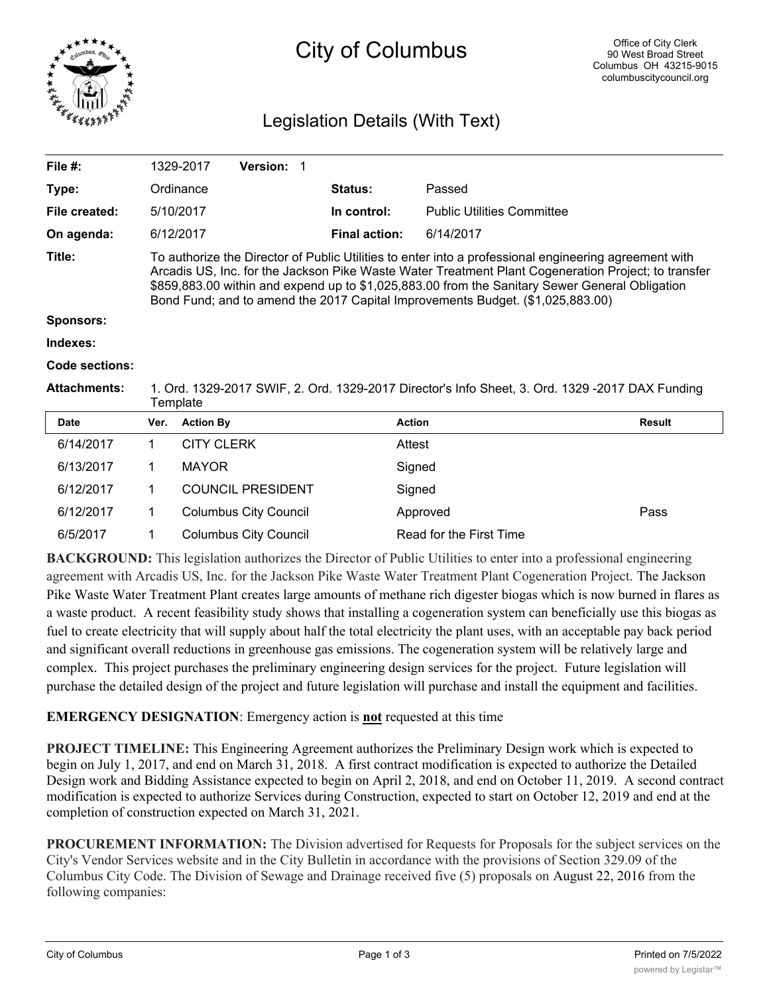

# City of Columbus

# Legislation Details (With Text)

| File #:             |                                                                                                                                                                                                                                                                                                                                                                                                  | 1329-2017         | Version: 1                   |  |                      |                                   |               |  |  |
|---------------------|--------------------------------------------------------------------------------------------------------------------------------------------------------------------------------------------------------------------------------------------------------------------------------------------------------------------------------------------------------------------------------------------------|-------------------|------------------------------|--|----------------------|-----------------------------------|---------------|--|--|
| Type:               |                                                                                                                                                                                                                                                                                                                                                                                                  | Ordinance         |                              |  | Status:              | Passed                            |               |  |  |
| File created:       |                                                                                                                                                                                                                                                                                                                                                                                                  | 5/10/2017         |                              |  | In control:          | <b>Public Utilities Committee</b> |               |  |  |
| On agenda:          |                                                                                                                                                                                                                                                                                                                                                                                                  | 6/12/2017         |                              |  | <b>Final action:</b> | 6/14/2017                         |               |  |  |
| Title:              | To authorize the Director of Public Utilities to enter into a professional engineering agreement with<br>Arcadis US, Inc. for the Jackson Pike Waste Water Treatment Plant Cogeneration Project; to transfer<br>\$859,883.00 within and expend up to \$1,025,883.00 from the Sanitary Sewer General Obligation<br>Bond Fund; and to amend the 2017 Capital Improvements Budget. (\$1,025,883.00) |                   |                              |  |                      |                                   |               |  |  |
| Sponsors:           |                                                                                                                                                                                                                                                                                                                                                                                                  |                   |                              |  |                      |                                   |               |  |  |
| Indexes:            |                                                                                                                                                                                                                                                                                                                                                                                                  |                   |                              |  |                      |                                   |               |  |  |
| Code sections:      |                                                                                                                                                                                                                                                                                                                                                                                                  |                   |                              |  |                      |                                   |               |  |  |
| <b>Attachments:</b> | 1. Ord. 1329-2017 SWIF, 2. Ord. 1329-2017 Director's Info Sheet, 3. Ord. 1329 -2017 DAX Funding<br>Template                                                                                                                                                                                                                                                                                      |                   |                              |  |                      |                                   |               |  |  |
| <b>Date</b>         | Ver.                                                                                                                                                                                                                                                                                                                                                                                             | <b>Action By</b>  |                              |  |                      | <b>Action</b>                     | <b>Result</b> |  |  |
| 6/14/2017           | 1                                                                                                                                                                                                                                                                                                                                                                                                | <b>CITY CLERK</b> |                              |  |                      | Attest                            |               |  |  |
| 6/13/2017           | 1                                                                                                                                                                                                                                                                                                                                                                                                | <b>MAYOR</b>      |                              |  |                      | Signed                            |               |  |  |
| 6/12/2017           | 1                                                                                                                                                                                                                                                                                                                                                                                                |                   | <b>COUNCIL PRESIDENT</b>     |  |                      | Signed                            |               |  |  |
| 6/12/2017           | 1                                                                                                                                                                                                                                                                                                                                                                                                |                   | <b>Columbus City Council</b> |  |                      | Approved                          | Pass          |  |  |
| 6/5/2017            | 1                                                                                                                                                                                                                                                                                                                                                                                                |                   | <b>Columbus City Council</b> |  |                      | Read for the First Time           |               |  |  |

**BACKGROUND:** This legislation authorizes the Director of Public Utilities to enter into a professional engineering agreement with Arcadis US, Inc. for the Jackson Pike Waste Water Treatment Plant Cogeneration Project. The Jackson Pike Waste Water Treatment Plant creates large amounts of methane rich digester biogas which is now burned in flares as a waste product. A recent feasibility study shows that installing a cogeneration system can beneficially use this biogas as fuel to create electricity that will supply about half the total electricity the plant uses, with an acceptable pay back period and significant overall reductions in greenhouse gas emissions. The cogeneration system will be relatively large and complex. This project purchases the preliminary engineering design services for the project. Future legislation will purchase the detailed design of the project and future legislation will purchase and install the equipment and facilities.

**EMERGENCY DESIGNATION**: Emergency action is **not** requested at this time

**Expiration** 

**PROJECT TIMELINE:** This Engineering Agreement authorizes the Preliminary Design work which is expected to begin on July 1, 2017, and end on March 31, 2018. A first contract modification is expected to authorize the Detailed Design work and Bidding Assistance expected to begin on April 2, 2018, and end on October 11, 2019. A second contract modification is expected to authorize Services during Construction, expected to start on October 12, 2019 and end at the completion of construction expected on March 31, 2021.

**PROCUREMENT INFORMATION:** The Division advertised for Requests for Proposals for the subject services on the City's Vendor Services website and in the City Bulletin in accordance with the provisions of Section 329.09 of the Columbus City Code. The Division of Sewage and Drainage received five (5) proposals on August 22, 2016 from the following companies: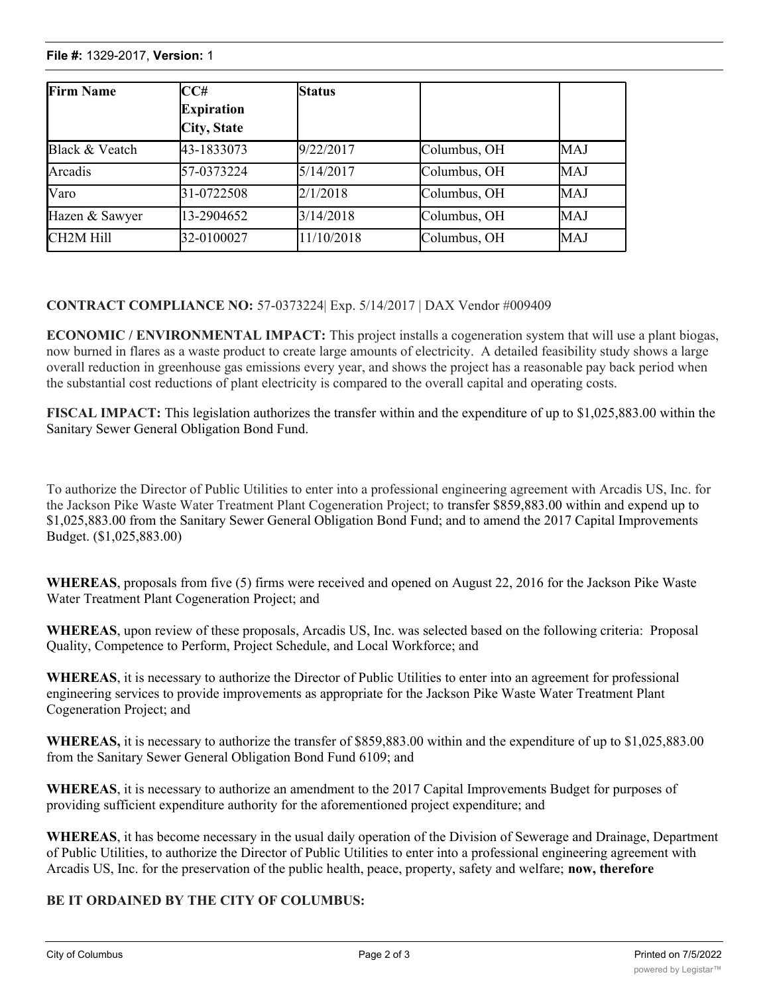### **File #:** 1329-2017, **Version:** 1

| <b>Firm Name</b>       | CC#                | <b>Status</b> |              |            |
|------------------------|--------------------|---------------|--------------|------------|
|                        | <b>Expiration</b>  |               |              |            |
|                        | <b>City, State</b> |               |              |            |
| Black & Veatch         | 43-1833073         | 9/22/2017     | Columbus, OH | MAJ        |
| Arcadis                | 57-0373224         | 5/14/2017     | Columbus, OH | MAJ        |
| Varo                   | 31-0722508         | 2/1/2018      | Columbus, OH | <b>MAJ</b> |
| Hazen & Sawyer         | 13-2904652         | 3/14/2018     | Columbus, OH | MAJ        |
| CH <sub>2</sub> M Hill | 32-0100027         | 11/10/2018    | Columbus, OH | MAJ        |

# **CONTRACT COMPLIANCE NO:** 57-0373224| Exp. 5/14/2017 | DAX Vendor #009409

**ECONOMIC / ENVIRONMENTAL IMPACT:** This project installs a cogeneration system that will use a plant biogas, now burned in flares as a waste product to create large amounts of electricity. A detailed feasibility study shows a large overall reduction in greenhouse gas emissions every year, and shows the project has a reasonable pay back period when the substantial cost reductions of plant electricity is compared to the overall capital and operating costs.

**FISCAL IMPACT:** This legislation authorizes the transfer within and the expenditure of up to \$1,025,883.00 within the Sanitary Sewer General Obligation Bond Fund.

To authorize the Director of Public Utilities to enter into a professional engineering agreement with Arcadis US, Inc. for the Jackson Pike Waste Water Treatment Plant Cogeneration Project; to transfer \$859,883.00 within and expend up to \$1,025,883.00 from the Sanitary Sewer General Obligation Bond Fund; and to amend the 2017 Capital Improvements Budget. (\$1,025,883.00)

**WHEREAS**, proposals from five (5) firms were received and opened on August 22, 2016 for the Jackson Pike Waste Water Treatment Plant Cogeneration Project; and

**WHEREAS**, upon review of these proposals, Arcadis US, Inc. was selected based on the following criteria: Proposal Quality, Competence to Perform, Project Schedule, and Local Workforce; and

**WHEREAS**, it is necessary to authorize the Director of Public Utilities to enter into an agreement for professional engineering services to provide improvements as appropriate for the Jackson Pike Waste Water Treatment Plant Cogeneration Project; and

**WHEREAS,** it is necessary to authorize the transfer of \$859,883.00 within and the expenditure of up to \$1,025,883.00 from the Sanitary Sewer General Obligation Bond Fund 6109; and

**WHEREAS**, it is necessary to authorize an amendment to the 2017 Capital Improvements Budget for purposes of providing sufficient expenditure authority for the aforementioned project expenditure; and

**WHEREAS**, it has become necessary in the usual daily operation of the Division of Sewerage and Drainage, Department of Public Utilities, to authorize the Director of Public Utilities to enter into a professional engineering agreement with Arcadis US, Inc. for the preservation of the public health, peace, property, safety and welfare; **now, therefore**

## **BE IT ORDAINED BY THE CITY OF COLUMBUS:**